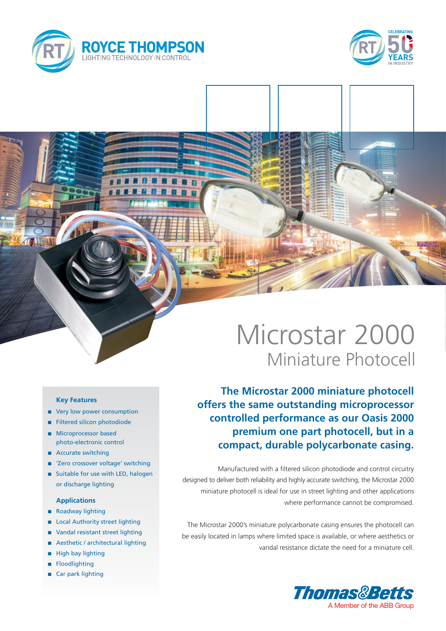



# Microstar 2000 Miniature Photocell

**The Microstar 2000 miniature photocell offers the same outstanding microprocessor controlled performance as our Oasis 2000 premium one part photocell, but in a compact, durable polycarbonate casing.**

Manufactured with a filtered silicon photodiode and control circuitry designed to deliver both reliability and highly accurate switching, the Microstar 2000 miniature photocell is ideal for use in street lighting and other applications where performance cannot be compromised.

The Microstar 2000's miniature polycarbonate casing ensures the photocell can be easily located in lamps where limited space is available, or where aesthetics or vandal resistance dictate the need for a miniature cell.



### **Key Features**

- very low power consumption
- Filtered silicon photodiode
- **n** Microprocessor based photo-electronic control
- Accurate switching
- 'Zero crossover voltage' switching
- Suitable for use with LED, halogen or discharge lighting

#### **Applications**

- Roadway lighting
- **Local Authority street lighting**
- Vandal resistant street lighting
- Aesthetic / architectural lighting
- High bay lighting
- **Floodlighting**
- Car park lighting